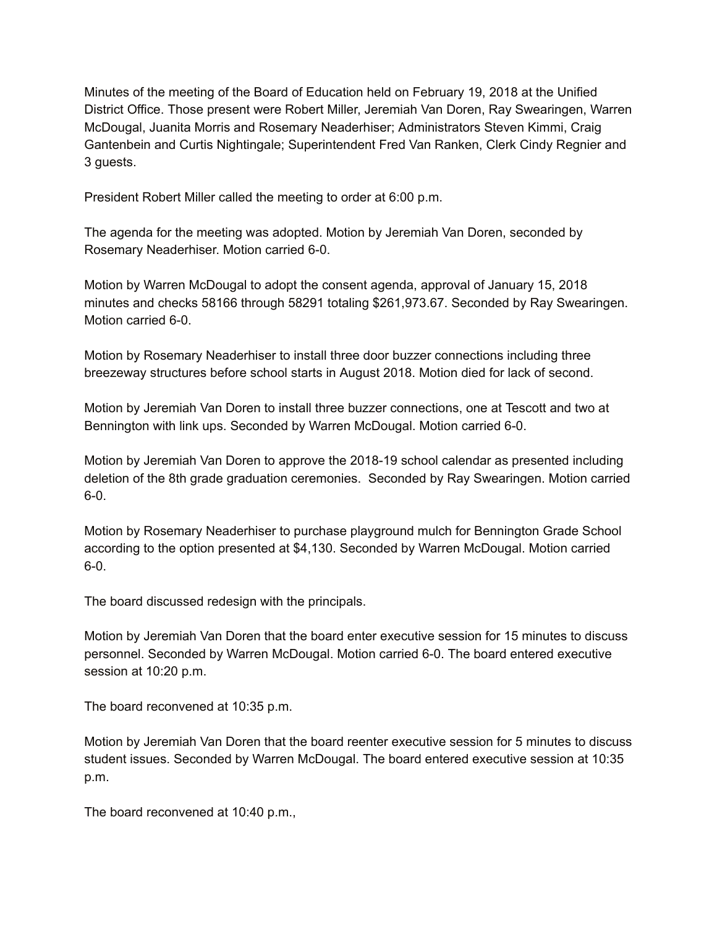Minutes of the meeting of the Board of Education held on February 19, 2018 at the Unified District Office. Those present were Robert Miller, Jeremiah Van Doren, Ray Swearingen, Warren McDougal, Juanita Morris and Rosemary Neaderhiser; Administrators Steven Kimmi, Craig Gantenbein and Curtis Nightingale; Superintendent Fred Van Ranken, Clerk Cindy Regnier and 3 guests.

President Robert Miller called the meeting to order at 6:00 p.m.

The agenda for the meeting was adopted. Motion by Jeremiah Van Doren, seconded by Rosemary Neaderhiser. Motion carried 6-0.

Motion by Warren McDougal to adopt the consent agenda, approval of January 15, 2018 minutes and checks 58166 through 58291 totaling \$261,973.67. Seconded by Ray Swearingen. Motion carried 6-0.

Motion by Rosemary Neaderhiser to install three door buzzer connections including three breezeway structures before school starts in August 2018. Motion died for lack of second.

Motion by Jeremiah Van Doren to install three buzzer connections, one at Tescott and two at Bennington with link ups. Seconded by Warren McDougal. Motion carried 6-0.

Motion by Jeremiah Van Doren to approve the 2018-19 school calendar as presented including deletion of the 8th grade graduation ceremonies. Seconded by Ray Swearingen. Motion carried  $6-0.$ 

Motion by Rosemary Neaderhiser to purchase playground mulch for Bennington Grade School according to the option presented at \$4,130. Seconded by Warren McDougal. Motion carried  $6-0.$ 

The board discussed redesign with the principals.

Motion by Jeremiah Van Doren that the board enter executive session for 15 minutes to discuss personnel. Seconded by Warren McDougal. Motion carried 6-0. The board entered executive session at 10:20 p.m.

The board reconvened at 10:35 p.m.

Motion by Jeremiah Van Doren that the board reenter executive session for 5 minutes to discuss student issues. Seconded by Warren McDougal. The board entered executive session at 10:35 p.m.

The board reconvened at 10:40 p.m.,